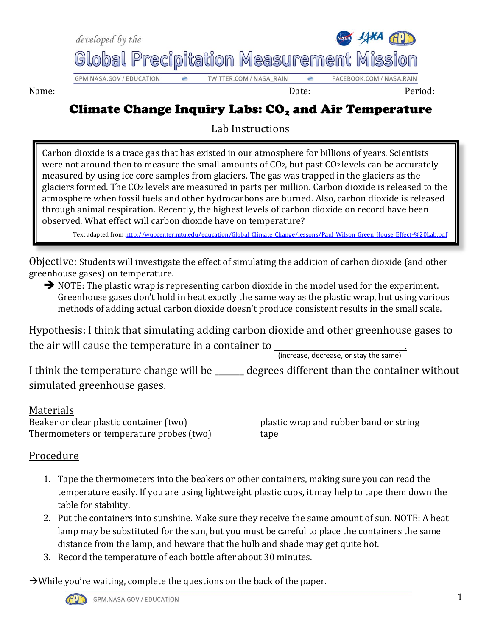

Name: Date: Period:

## Climate Change Inquiry Labs:  $CO<sub>2</sub>$  and Air Temperature

Lab Instructions

Carbon dioxide is a trace gas that has existed in our atmosphere for billions of years. Scientists were not around then to measure the small amounts of CO2, but past CO2 levels can be accurately measured by using ice core samples from glaciers. The gas was trapped in the glaciers as the glaciers formed. The CO<sup>2</sup> levels are measured in parts per million. Carbon dioxide is released to the atmosphere when fossil fuels and other hydrocarbons are burned. Also, carbon dioxide is released through animal respiration. Recently, the highest levels of carbon dioxide on record have been observed. What effect will carbon dioxide have on temperature?

Text adapted from http://wupcenter.mtu.edu/education/Global\_Climate\_Change/lessons/Paul\_Wilson\_Green\_House\_Effect-%20Lab.pdf

Objective: Students will investigate the effect of simulating the addition of carbon dioxide (and other greenhouse gases) on temperature.

 $\rightarrow$  NOTE: The plastic wrap is representing carbon dioxide in the model used for the experiment. Greenhouse gases don't hold in heat exactly the same way as the plastic wrap, but using various methods of adding actual carbon dioxide doesn't produce consistent results in the small scale.

Hypothesis: I think that simulating adding carbon dioxide and other greenhouse gases to the air will cause the temperature in a container to \_\_\_\_\_\_\_\_\_\_\_\_\_\_\_\_\_\_\_\_\_\_\_\_\_\_\_

(increase, decrease, or stay the same)

I think the temperature change will be \_\_\_\_\_\_\_ degrees different than the container without simulated greenhouse gases.

## Materials

Beaker or clear plastic container (two) plastic wrap and rubber band or string Thermometers or temperature probes (two) tape

## Procedure

- 1. Tape the thermometers into the beakers or other containers, making sure you can read the temperature easily. If you are using lightweight plastic cups, it may help to tape them down the table for stability.
- 2. Put the containers into sunshine. Make sure they receive the same amount of sun. NOTE: A heat lamp may be substituted for the sun, but you must be careful to place the containers the same distance from the lamp, and beware that the bulb and shade may get quite hot.
- 3. Record the temperature of each bottle after about 30 minutes.

 $\rightarrow$  While you're waiting, complete the questions on the back of the paper.